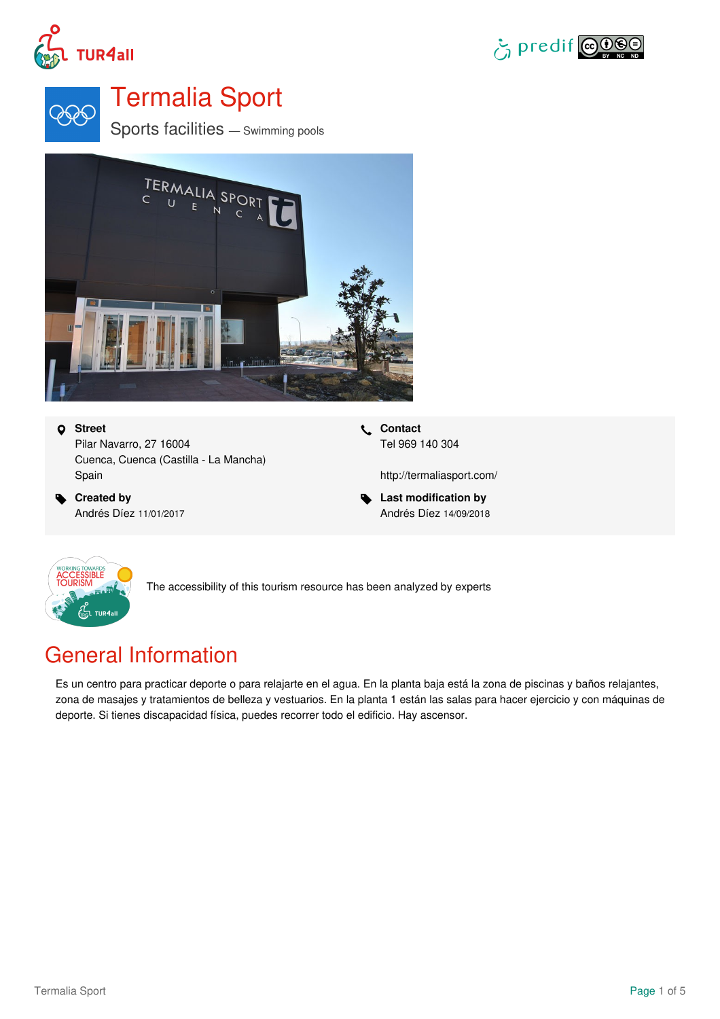





# Termalia Sport

Sports facilities — Swimming pools



### **Street**

Pilar Navarro, 27 16004 Cuenca, Cuenca (Castilla - La Mancha) Spain

 **Created by** Andrés Díez 11/01/2017  **Contact** Tel 969 140 304

<http://termaliasport.com/>

 **Last modification by** Andrés Díez 14/09/2018



The accessibility of this tourism resource has been analyzed by experts

## General Information

Es un centro para practicar deporte o para relajarte en el agua. En la planta baja está la zona de piscinas y baños relajantes, zona de masajes y tratamientos de belleza y vestuarios. En la planta 1 están las salas para hacer ejercicio y con máquinas de deporte. Si tienes discapacidad física, puedes recorrer todo el edificio. Hay ascensor.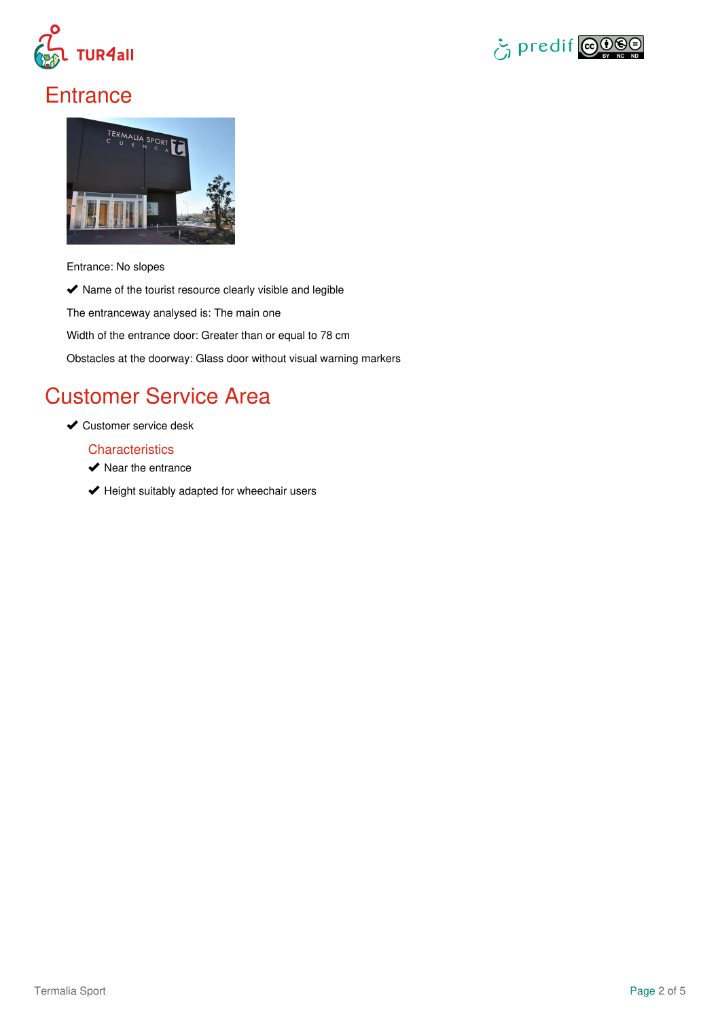



## **Entrance**



Entrance: No slopes

 $\blacktriangleright$  Name of the tourist resource clearly visible and legible

The entranceway analysed is: The main one

Width of the entrance door: Greater than or equal to 78 cm

Obstacles at the doorway: Glass door without visual warning markers

## Customer Service Area

**◆ Customer service desk** 

### **Characteristics**

- $\blacktriangleright$  Near the entrance
- $\blacktriangleright$  Height suitably adapted for wheechair users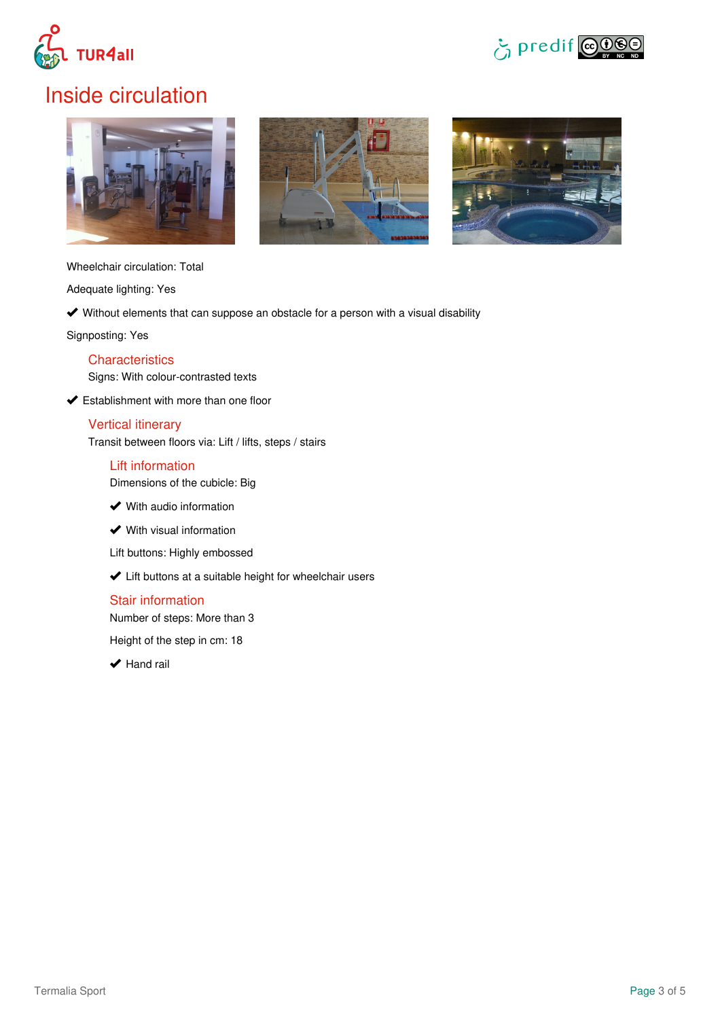



## Inside circulation







Wheelchair circulation: Total

Adequate lighting: Yes

Without elements that can suppose an obstacle for a person with a visual disability

Signposting: Yes

### **Characteristics**

Signs: With colour-contrasted texts

**◆ Establishment with more than one floor** 

### Vertical itinerary

Transit between floors via: Lift / lifts, steps / stairs

### Lift information

Dimensions of the cubicle: Big

- **◆** With audio information
- **◆** With visual information

Lift buttons: Highly embossed

Lift buttons at a suitable height for wheelchair users

### Stair information

Number of steps: More than 3

Height of the step in cm: 18

 $\blacktriangleright$  Hand rail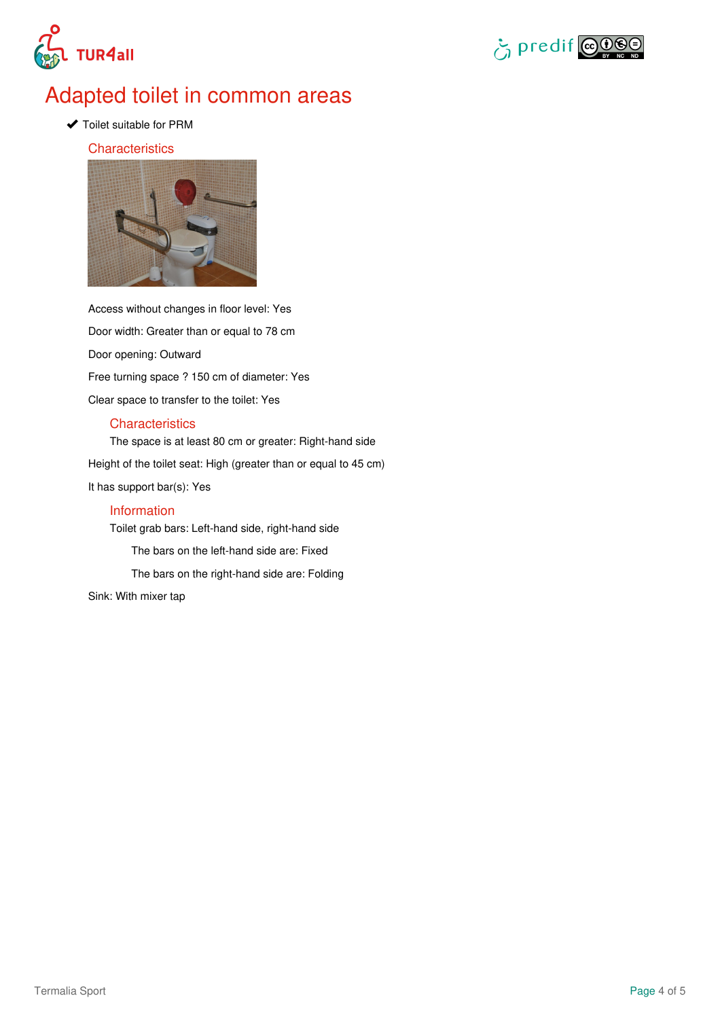



### Adapted toilet in common areas

◆ Toilet suitable for PRM

### **Characteristics**



Access without changes in floor level: Yes Door width: Greater than or equal to 78 cm Door opening: Outward Free turning space ? 150 cm of diameter: Yes Clear space to transfer to the toilet: Yes

### **Characteristics**

The space is at least 80 cm or greater: Right-hand side Height of the toilet seat: High (greater than or equal to 45 cm) It has support bar(s): Yes Information Toilet grab bars: Left-hand side, right-hand side

The bars on the left-hand side are: Fixed The bars on the right-hand side are: Folding

Sink: With mixer tap